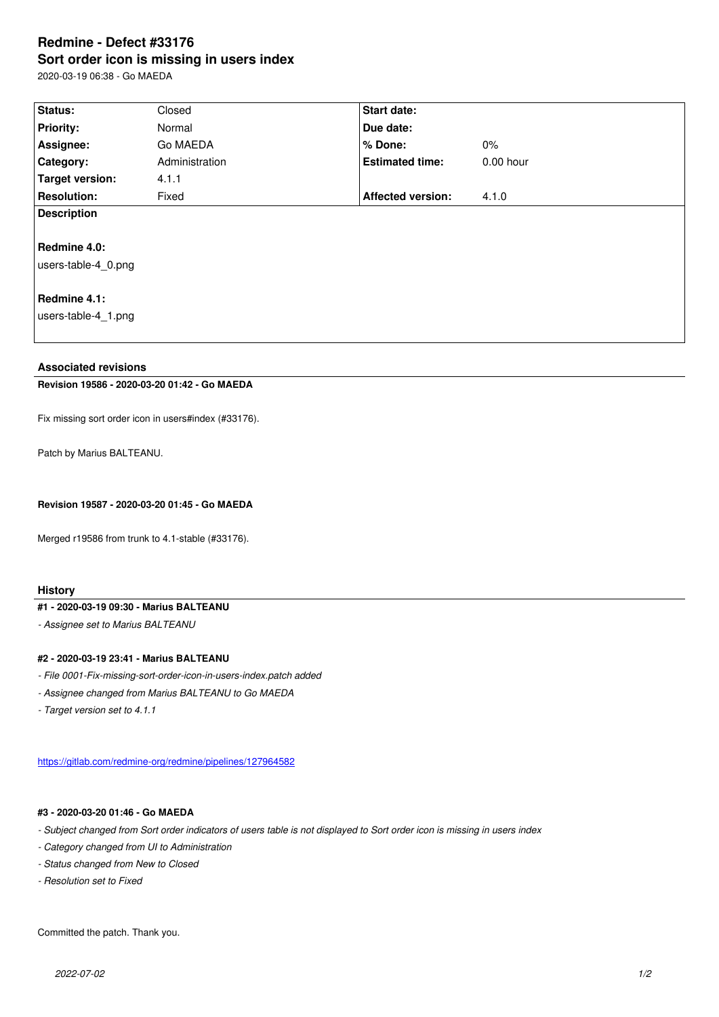#### **Sort order icon is missing in users index**

2020-03-19 06:38 - Go MAEDA

| Status:             | Closed         | <b>Start date:</b>       |             |
|---------------------|----------------|--------------------------|-------------|
| <b>Priority:</b>    | Normal         | Due date:                |             |
| Assignee:           | Go MAEDA       | $%$ Done:                | $0\%$       |
| <b>Category:</b>    | Administration | <b>Estimated time:</b>   | $0.00$ hour |
| Target version:     | 4.1.1          |                          |             |
| <b>Resolution:</b>  | Fixed          | <b>Affected version:</b> | 4.1.0       |
| <b>Description</b>  |                |                          |             |
| Redmine 4.0:        |                |                          |             |
| users-table-4 0.png |                |                          |             |
| Redmine 4.1:        |                |                          |             |

users-table-4\_1.png

#### **Associated revisions**

# **Revision 19586 - 2020-03-20 01:42 - Go MAEDA**

Fix missing sort order icon in users#index (#33176).

Patch by Marius BALTEANU.

**Revision 19587 - 2020-03-20 01:45 - Go MAEDA**

Merged r19586 from trunk to 4.1-stable (#33176).

### **History**

## **#1 - 2020-03-19 09:30 - Marius BALTEANU**

*- Assignee set to Marius BALTEANU*

## **#2 - 2020-03-19 23:41 - Marius BALTEANU**

- *File 0001-Fix-missing-sort-order-icon-in-users-index.patch added*
- *Assignee changed from Marius BALTEANU to Go MAEDA*
- *Target version set to 4.1.1*

https://gitlab.com/redmine-org/redmine/pipelines/127964582

### **#3 - 2020-03-20 01:46 - Go MAEDA**

- *[Subject changed from Sort order indicators of users table is](https://gitlab.com/redmine-org/redmine/pipelines/127964582) not displayed to Sort order icon is missing in users index*
- *Category changed from UI to Administration*
- *Status changed from New to Closed*
- *Resolution set to Fixed*

Committed the patch. Thank you.